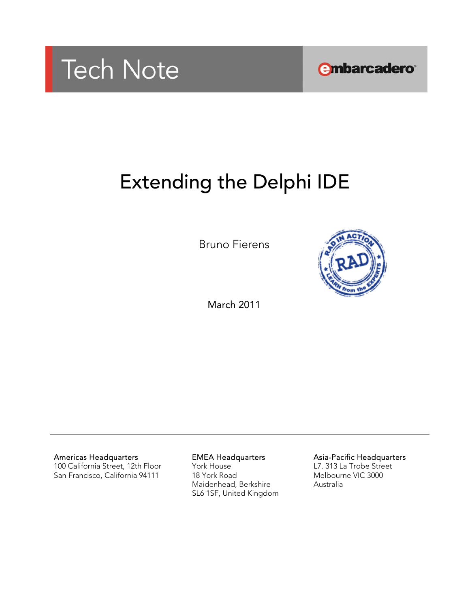

**embarcadero**®

# Extending the Delphi IDE

Bruno Fierens



March 2011

Americas Headquarters

100 California Street, 12th Floor San Francisco, California 94111

EMEA Headquarters York House 18 York Road Maidenhead, Berkshire SL6 1SF, United Kingdom Asia-Pacific Headquarters

L7. 313 La Trobe Street Melbourne VIC 3000 Australia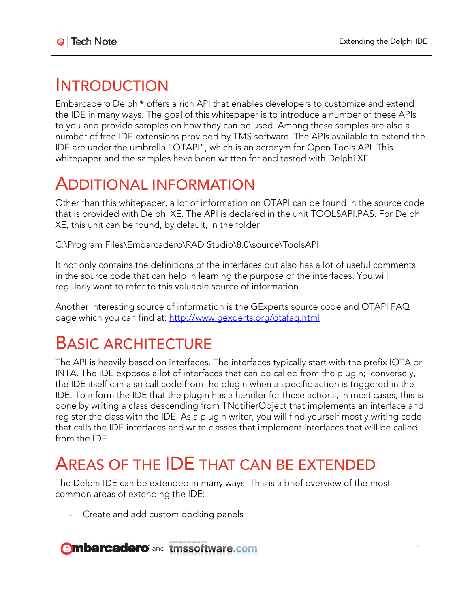### **INTRODUCTION**

Embarcadero Delphi® offers a rich API that enables developers to customize and extend the IDE in many ways. The goal of this whitepaper is to introduce a number of these APIs to you and provide samples on how they can be used. Among these samples are also a number of free IDE extensions provided by TMS software. The APIs available to extend the IDE are under the umbrella "OTAPI", which is an acronym for Open Tools API. This whitepaper and the samples have been written for and tested with Delphi XE.

## ADDITIONAL INFORMATION

Other than this whitepaper, a lot of information on OTAPI can be found in the source code that is provided with Delphi XE. The API is declared in the unit TOOLSAPI.PAS. For Delphi XE, this unit can be found, by default, in the folder:

C:\Program Files\Embarcadero\RAD Studio\8.0\source\ToolsAPI

It not only contains the definitions of the interfaces but also has a lot of useful comments in the source code that can help in learning the purpose of the interfaces. You will regularly want to refer to this valuable source of information..

Another interesting source of information is the GExperts source code and OTAPI FAQ page which you can find at: http://www.gexperts.org/otafag.html

# BASIC ARCHITECTURE

The API is heavily based on interfaces. The interfaces typically start with the prefix IOTA or INTA. The IDE exposes a lot of interfaces that can be called from the plugin; conversely, the IDE itself can also call code from the plugin when a specific action is triggered in the IDE. To inform the IDE that the plugin has a handler for these actions, in most cases, this is done by writing a class descending from TNotifierObject that implements an interface and register the class with the IDE. As a plugin writer, you will find yourself mostly writing code that calls the IDE interfaces and write classes that implement interfaces that will be called from the IDE.

### AREAS OF THE IDE THAT CAN BE EXTENDED

The Delphi IDE can be extended in many ways. This is a brief overview of the most common areas of extending the IDE:

- Create and add custom docking panels

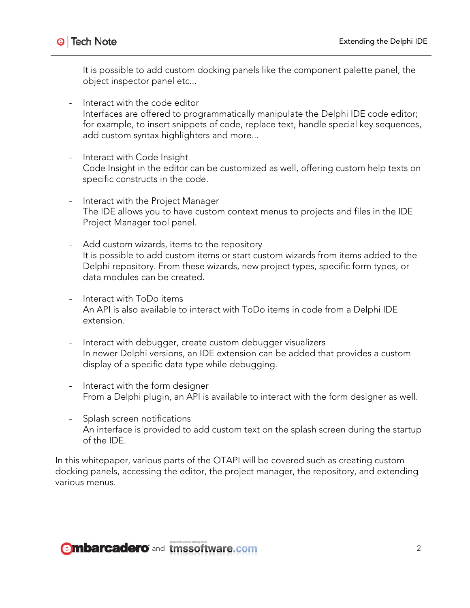

It is possible to add custom docking panels like the component palette panel, the object inspector panel etc...

- Interact with the code editor Interfaces are offered to programmatically manipulate the Delphi IDE code editor; for example, to insert snippets of code, replace text, handle special key sequences, add custom syntax highlighters and more...
- Interact with Code Insight Code Insight in the editor can be customized as well, offering custom help texts on specific constructs in the code.
- Interact with the Project Manager The IDE allows you to have custom context menus to projects and files in the IDE Project Manager tool panel.
- Add custom wizards, items to the repository It is possible to add custom items or start custom wizards from items added to the Delphi repository. From these wizards, new project types, specific form types, or data modules can be created.
- Interact with ToDo items An API is also available to interact with ToDo items in code from a Delphi IDE extension.
- Interact with debugger, create custom debugger visualizers In newer Delphi versions, an IDE extension can be added that provides a custom display of a specific data type while debugging.
- Interact with the form designer From a Delphi plugin, an API is available to interact with the form designer as well.
- Splash screen notifications An interface is provided to add custom text on the splash screen during the startup of the IDE.

In this whitepaper, various parts of the OTAPI will be covered such as creating custom docking panels, accessing the editor, the project manager, the repository, and extending various menus.

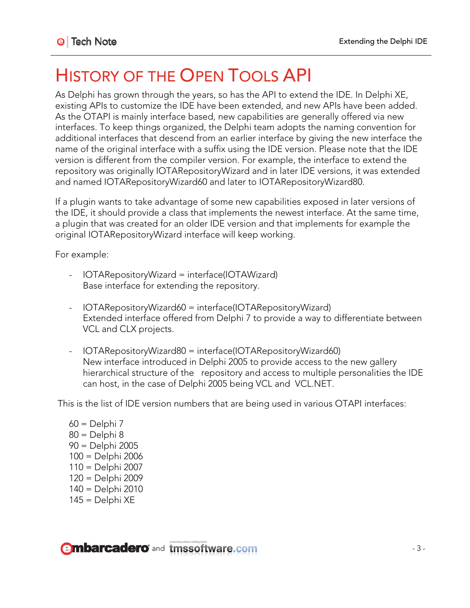## HISTORY OF THE OPEN TOOLS API

As Delphi has grown through the years, so has the API to extend the IDE. In Delphi XE, existing APIs to customize the IDE have been extended, and new APIs have been added. As the OTAPI is mainly interface based, new capabilities are generally offered via new interfaces. To keep things organized, the Delphi team adopts the naming convention for additional interfaces that descend from an earlier interface by giving the new interface the name of the original interface with a suffix using the IDE version. Please note that the IDE version is different from the compiler version. For example, the interface to extend the repository was originally IOTARepositoryWizard and in later IDE versions, it was extended and named IOTARepositoryWizard60 and later to IOTARepositoryWizard80.

If a plugin wants to take advantage of some new capabilities exposed in later versions of the IDE, it should provide a class that implements the newest interface. At the same time, a plugin that was created for an older IDE version and that implements for example the original IOTARepositoryWizard interface will keep working.

For example:

- IOTARepositoryWizard = interface(IOTAWizard) Base interface for extending the repository.
- IOTARepositoryWizard60 = interface(IOTARepositoryWizard) Extended interface offered from Delphi 7 to provide a way to differentiate between VCL and CLX projects.
- IOTARepositoryWizard80 = interface(IOTARepositoryWizard60) New interface introduced in Delphi 2005 to provide access to the new gallery hierarchical structure of the repository and access to multiple personalities the IDE can host, in the case of Delphi 2005 being VCL and VCL.NET.

This is the list of IDE version numbers that are being used in various OTAPI interfaces:

60 = Delphi 7 80 = Delphi 8 90 = Delphi 2005 100 = Delphi 2006 110 = Delphi 2007 120 = Delphi 2009 140 = Delphi 2010 145 = Delphi XE

and - 3 -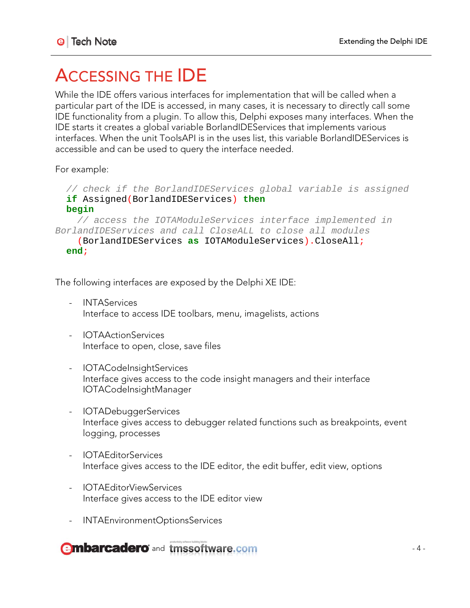## ACCESSING THE IDE

While the IDE offers various interfaces for implementation that will be called when a particular part of the IDE is accessed, in many cases, it is necessary to directly call some IDE functionality from a plugin. To allow this, Delphi exposes many interfaces. When the IDE starts it creates a global variable BorlandIDEServices that implements various interfaces. When the unit ToolsAPI is in the uses list, this variable BorlandIDEServices is accessible and can be used to query the interface needed.

For example:

```
// check if the BorlandIDEServices global variable is assigned
  if Assigned(BorlandIDEServices) then
  begin
    // access the IOTAModuleServices interface implemented in
BorlandIDEServices and call CloseALL to close all modules
     (BorlandIDEServices as IOTAModuleServices).CloseAll;
  end;
```
The following interfaces are exposed by the Delphi XE IDE:

- INTAServices Interface to access IDE toolbars, menu, imagelists, actions
- IOTAActionServices Interface to open, close, save files
- IOTACodeInsightServices Interface gives access to the code insight managers and their interface IOTACodeInsightManager
- IOTADebuggerServices Interface gives access to debugger related functions such as breakpoints, event logging, processes
- IOTAEditorServices Interface gives access to the IDE editor, the edit buffer, edit view, options
- IOTAEditorViewServices Interface gives access to the IDE editor view
- INTAEnvironmentOptionsServices

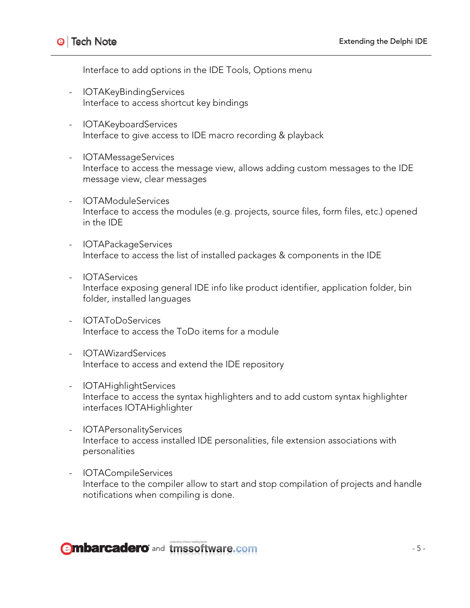

Interface to add options in the IDE Tools, Options menu

- IOTAKeyBindingServices Interface to access shortcut key bindings
- IOTAKeyboardServices Interface to give access to IDE macro recording & playback
- IOTAMessageServices Interface to access the message view, allows adding custom messages to the IDE message view, clear messages
- IOTAModuleServices Interface to access the modules (e.g. projects, source files, form files, etc.) opened in the IDE
- IOTAPackageServices Interface to access the list of installed packages & components in the IDE
- IOTAServices Interface exposing general IDE info like product identifier, application folder, bin folder, installed languages
- IOTAToDoServices Interface to access the ToDo items for a module
- IOTAWizardServices Interface to access and extend the IDE repository
- IOTAHighlightServices Interface to access the syntax highlighters and to add custom syntax highlighter interfaces IOTAHighlighter
- IOTAPersonalityServices Interface to access installed IDE personalities, file extension associations with personalities
- IOTACompileServices Interface to the compiler allow to start and stop compilation of projects and handle notifications when compiling is done.

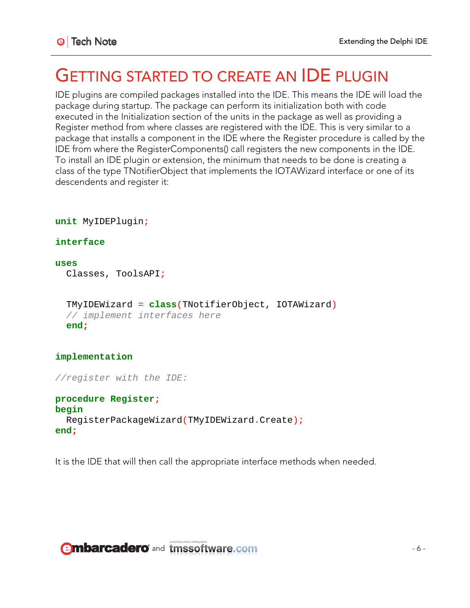## GETTING STARTED TO CREATE AN IDE PLUGIN

IDE plugins are compiled packages installed into the IDE. This means the IDE will load the package during startup. The package can perform its initialization both with code executed in the Initialization section of the units in the package as well as providing a Register method from where classes are registered with the IDE. This is very similar to a package that installs a component in the IDE where the Register procedure is called by the IDE from where the RegisterComponents() call registers the new components in the IDE. To install an IDE plugin or extension, the minimum that needs to be done is creating a class of the type TNotifierObject that implements the IOTAWizard interface or one of its descendents and register it:

**unit** MyIDEPlugin;

#### **interface**

#### **uses**

```
 Classes, ToolsAPI;
```

```
 TMyIDEWizard = class(TNotifierObject, IOTAWizard)
 // implement interfaces here 
 end;
```
#### **implementation**

*//register with the IDE:* 

```
procedure Register;
begin
 Re
gisterPackageWizard(TMyIDEWizard.Create);
end;
```
It is the IDE that will then call the appropriate interface methods when needed.

**Ambarcadero** and tmssoftware.com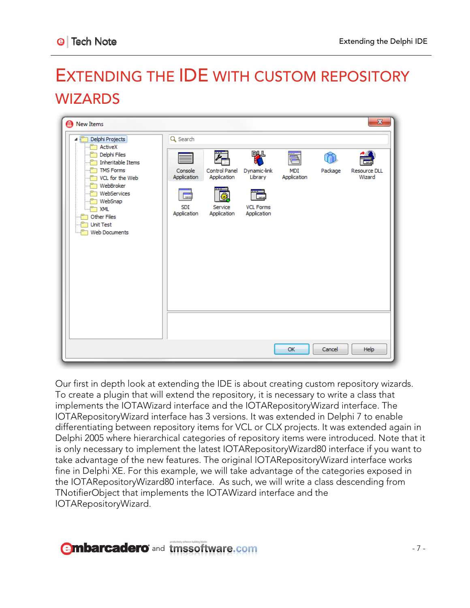# EXTENDING THE IDE WITH CUSTOM REPOSITORY WIZARDS

| <b>B</b> New Items                                                                                                                                                                                                            |                                                                           |                                                             |                                                                         |                                |         | $\mathbf{x}$                  |
|-------------------------------------------------------------------------------------------------------------------------------------------------------------------------------------------------------------------------------|---------------------------------------------------------------------------|-------------------------------------------------------------|-------------------------------------------------------------------------|--------------------------------|---------|-------------------------------|
| Delphi Projects<br>ActiveX<br>Delphi Files<br><b>Inheritable Items</b><br><b>TMS Forms</b><br>VCL for the Web<br>WebBroker<br>WebServices<br>WebSnap<br><b>XML</b><br>Other Files<br><b>Unit Test</b><br><b>Web Documents</b> | Q Search<br>Console<br>Application<br>$\Box$<br><b>SDI</b><br>Application | Control Panel<br>Application<br>۸<br>Service<br>Application | டிட<br>Dynamic-link<br>Library<br>шu<br><b>VCL Forms</b><br>Application | 罒<br><b>MDI</b><br>Application | Package | <b>Resource DLL</b><br>Wizard |
|                                                                                                                                                                                                                               |                                                                           |                                                             |                                                                         | <b>OK</b>                      | Cancel  | Help                          |

Our first in depth look at extending the IDE is about creating custom repository wizards. To create a plugin that will extend the repository, it is necessary to write a class that implements the IOTAWizard interface and the IOTARepositoryWizard interface. The IOTARepositoryWizard interface has 3 versions. It was extended in Delphi 7 to enable differentiating between repository items for VCL or CLX projects. It was extended again in Delphi 2005 where hierarchical categories of repository items were introduced. Note that it is only necessary to implement the latest IOTARepositoryWizard80 interface if you want to take advantage of the new features. The original IOTARepositoryWizard interface works fine in Delphi XE. For this example, we will take advantage of the categories exposed in the IOTARepositoryWizard80 interface. As such, we will write a class descending from TNotifierObject that implements the IOTAWizard interface and the IOTARepositoryWizard.

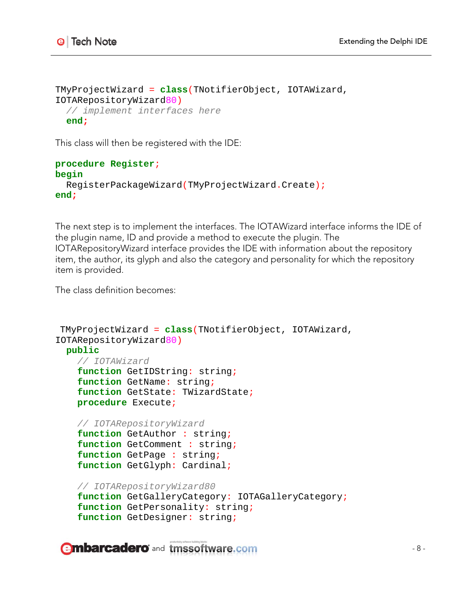```
TMyProjectWizard = class(TNotifierObject, IOTAWizard, 
IOTARepositoryWizard80)
   // implement interfaces here 
   end;
```
This class will then be registered with the IDE:

```
procedure Register;
begin
   RegisterPackageWizard(TMyProjectWizard.Create);
end;
```
The next step is to implement the interfaces. The IOTAWizard interface informs the IDE of the plugin name, ID and provide a method to execute the plugin. The IOTARepositoryWizard interface provides the IDE with information about the repository item, the author, its glyph and also the category and personality for which the repository item is provided.

The class definition becomes:

```
 TMyProjectWizard = class(TNotifierObject, IOTAWizard, 
IOTARepositoryWizard80)
  public
     // IOTAWizard 
     function GetIDString: string;
     function GetName: string;
     function GetState: TWizardState;
     procedure Execute;
     // IOTARepositoryWizard 
     function GetAuthor : string;
     function GetComment : string;
     function GetPage : string;
     function GetGlyph: Cardinal;
     // IOTARepositoryWizard80 
     function GetGalleryCategory: IOTAGalleryCategory;
     function GetPersonality: string;
     function GetDesigner: string;
```
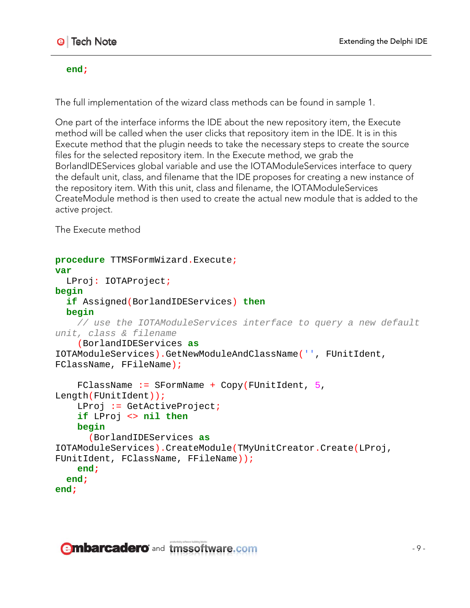#### **end;**

The full implementation of the wizard class methods can be found in sample 1.

One part of the interface informs the IDE about the new repository item, the Execute method will be called when the user clicks that repository item in the IDE. It is in this Execute method that the plugin needs to take the necessary steps to create the source files for the selected repository item. In the Execute method, we grab the BorlandIDEServices global variable and use the IOTAModuleServices interface to query the default unit, class, and filename that the IDE proposes for creating a new instance of the repository item. With this unit, class and filename, the IOTAModuleServices CreateModule method is then used to create the actual new module that is added to the active project.

The Execute method

```
procedure TTMSFormWizard.Execute;
var
   LProj: IOTAProject;
begin
   if Assigned(BorlandIDEServices) then
   begin
     // use the IOTAModuleServices interface to query a new default 
unit, class & filename 
     (BorlandIDEServices as
IOTAModuleServices).GetNewModuleAndClassName('', FUnitIdent, 
FClassName, FFileName);
    FClassName := SFormName + Copy(FUnitIdent, 5,
Length(FUnitIdent));
    LProj := GetActiveProject; if LProj <> nil then
     begin
       (BorlandIDEServices as
IOTAModuleServices).CreateModule(TMyUnitCreator.Create(LProj, 
FUnitIdent, FClassName, FFileName));
     end;
   end;
end;
```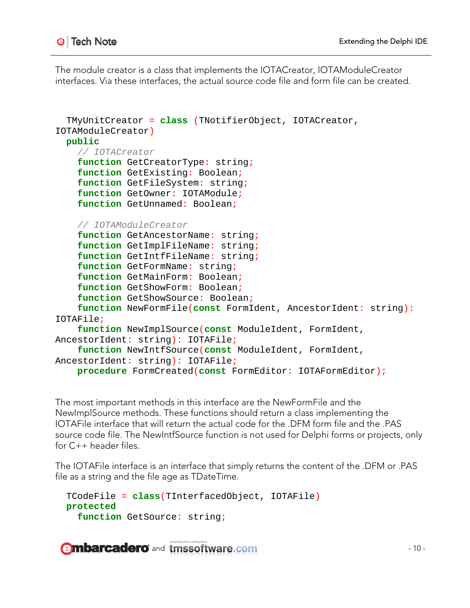The module creator is a class that implements the IOTACreator, IOTAModuleCreator interfaces. Via these interfaces, the actual source code file and form file can be created.

```
 TMyUnitCreator = class (TNotifierObject, IOTACreator, 
IOTAModuleCreator)
   public
     // IOTACreator 
     function GetCreatorType: string;
     function GetExisting: Boolean;
     function GetFileSystem: string;
     function GetOwner: IOTAModule;
     function GetUnnamed: Boolean;
     // IOTAModuleCreator 
     function GetAncestorName: string;
     function GetImplFileName: string;
     function GetIntfFileName: string;
     function GetFormName: string;
     function GetMainForm: Boolean;
     function GetShowForm: Boolean;
     function GetShowSource: Boolean;
     function NewFormFile(const FormIdent, AncestorIdent: string):
IOTAFile;
     function NewImplSource(const ModuleIdent, FormIdent, 
AncestorIdent: string): IOTAFile;
     function NewIntfSource(const ModuleIdent, FormIdent, 
AncestorIdent: string): IOTAFile;
     procedure FormCreated(const FormEditor: IOTAFormEditor);
```
The most important methods in this interface are the NewFormFile and the NewImplSource methods. These functions should return a class implementing the IOTAFile interface that will return the actual code for the .DFM form file and the .PAS source code file. The NewIntfSource function is not used for Delphi forms or projects, only for C++ header files.

The IOTAFile interface is an interface that simply returns the content of the .DFM or .PAS file as a string and the file age as TDateTime.

```
 TCodeFile = class(TInterfacedObject, IOTAFile)
 protected 
   function GetSource: string;
```
#### **And Denote Conduct 2018** and transport ware.com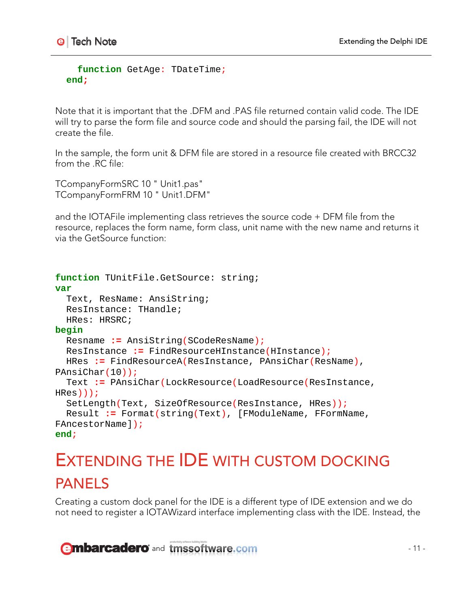```
 function GetAge: TDateTime;
 end;
```
Note that it is important that the .DFM and .PAS file returned contain valid code. The IDE will try to parse the form file and source code and should the parsing fail, the IDE will not create the file.

In the sample, the form unit & DFM file are stored in a resource file created with BRCC32 from the .RC file:

TCompanyFormSRC 10 " Unit1.pas" TCompanyFormFRM 10 " Unit1.DFM"

and the IOTAFile implementing class retrieves the source code + DFM file from the resource, replaces the form name, form class, unit name with the new name and returns it via the GetSource function:

```
function TUnitFile.GetSource: string;
var
   Text, ResName: AnsiString; 
   ResInstance: THandle; 
   HRes: HRSRC;
begin
   Resname := AnsiString(SCodeResName);
   ResInstance := FindResourceHInstance(HInstance);
   HRes := FindResourceA(ResInstance, PAnsiChar(ResName), 
PAnsiChar(10));
   Text := PAnsiChar(LockResource(LoadResource(ResInstance, 
HRes)));
   SetLength(Text, SizeOfResource(ResInstance, HRes));
   Result := Format(string(Text), [FModuleName, FFormName, 
FAncestorName]);
end;
```
# EXTENDING THE IDE WITH CUSTOM DOCKING PANELS

Creating a custom dock panel for the IDE is a different type of IDE extension and we do not need to register a IOTAWizard interface implementing class with the IDE. Instead, the

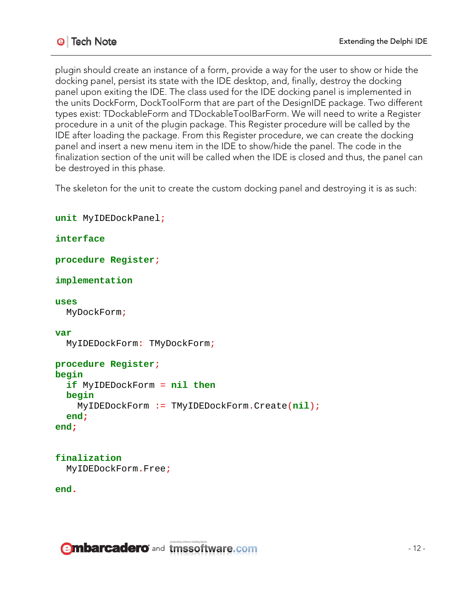plugin should create an instance of a form, provide a way for the user to show or hide the docking panel, persist its state with the IDE desktop, and, finally, destroy the docking panel upon exiting the IDE. The class used for the IDE docking panel is implemented in the units DockForm, DockToolForm that are part of the DesignIDE package. Two different types exist: TDockableForm and TDockableToolBarForm. We will need to write a Register procedure in a unit of the plugin package. This Register procedure will be called by the IDE after loading the package. From this Register procedure, we can create the docking panel and insert a new menu item in the IDE to show/hide the panel. The code in the finalization section of the unit will be called when the IDE is closed and thus, the panel can be destroyed in this phase.

The skeleton for the unit to create the custom docking panel and destroying it is as such:

**unit** MyIDEDockPanel; **interface procedure Register**; **implementation uses** MyDockForm; **var** MyIDEDockForm: TMyDockForm; **procedure Register**; **begin if** MyIDEDockForm = **nil then begin** MyIDEDockForm := TMyIDEDockForm.Create(**nil**); **end; end;**

**finalization**  MyIDEDockForm.Free;

**end.**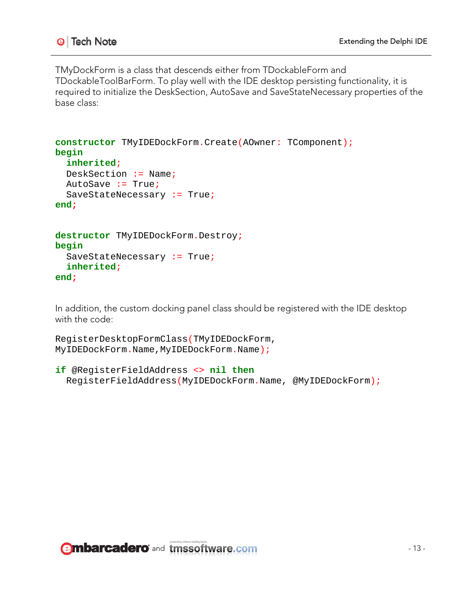TMyDockForm is a class that descends either from TDockableForm and TDockableToolBarForm. To play well with the IDE desktop persisting functionality, it is required to initialize the DeskSection, AutoSave and SaveStateNecessary properties of the base class:

```
constructor TMyIDEDockForm.Create(AOwner: TComponent);
begin
   inherited;
   DeskSection := Name;
  AutoSave := True;
  SaveStateNecessary := True;
end;
destructor TMyIDEDockForm.Destroy;
begin
   SaveStateNecessary := True;
   inherited;
end;
```
In addition, the custom docking panel class should be registered with the IDE desktop with the code:

```
RegisterDesktopFormClass(TMyIDEDockForm, 
MyIDEDockForm.Name,MyIDEDockForm.Name);
```

```
if @RegisterFieldAddress <> nil then
   RegisterFieldAddress(MyIDEDockForm.Name, @MyIDEDockForm);
```
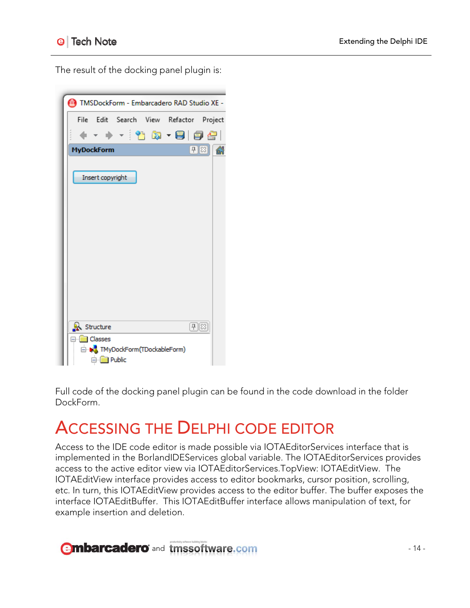The result of the docking panel plugin is:



Full code of the docking panel plugin can be found in the code download in the folder DockForm.

### ACCESSING THE DELPHI CODE EDITOR

Access to the IDE code editor is made possible via IOTAEditorServices interface that is implemented in the BorlandIDEServices global variable. The IOTAEditorServices provides access to the active editor view via IOTAEditorServices.TopView: IOTAEditView. The IOTAEditView interface provides access to editor bookmarks, cursor position, scrolling, etc. In turn, this IOTAEditView provides access to the editor buffer. The buffer exposes the interface IOTAEditBuffer. This IOTAEditBuffer interface allows manipulation of text, for example insertion and deletion.

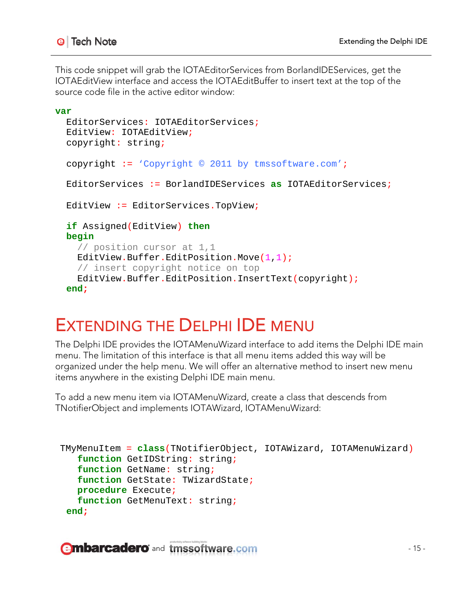This code snippet will grab the IOTAEditorServices from BorlandIDEServices, get the IOTAEditView interface and access the IOTAEditBuffer to insert text at the top of the source code file in the active editor window:

```
var
   EditorServices: IOTAEditorServices;
   EditView: IOTAEditView;
   copyright: string;
   copyright := 'Copyright © 2011 by tmssoftware.com';
   EditorServices := BorlandIDEServices as IOTAEditorServices;
   EditView := EditorServices.TopView;
   if Assigned(EditView) then
   begin 
     // position cursor at 1,1 
     EditView.Buffer.EditPosition.Move(1,1); 
     // insert copyright notice on top
     EditView.Buffer.EditPosition.InsertText(copyright);
   end;
```
### EXTENDING THE DELPHI IDE MENU

The Delphi IDE provides the IOTAMenuWizard interface to add items the Delphi IDE main menu. The limitation of this interface is that all menu items added this way will be organized under the help menu. We will offer an alternative method to insert new menu items anywhere in the existing Delphi IDE main menu.

To add a new menu item via IOTAMenuWizard, create a class that descends from TNotifierObject and implements IOTAWizard, IOTAMenuWizard:

```
 TMyMenuItem = class(TNotifierObject, IOTAWizard, IOTAMenuWizard)
    function GetIDString: string;
    function GetName: string;
    function GetState: TWizardState;
    procedure Execute;
    function GetMenuText: string;
  end;
```
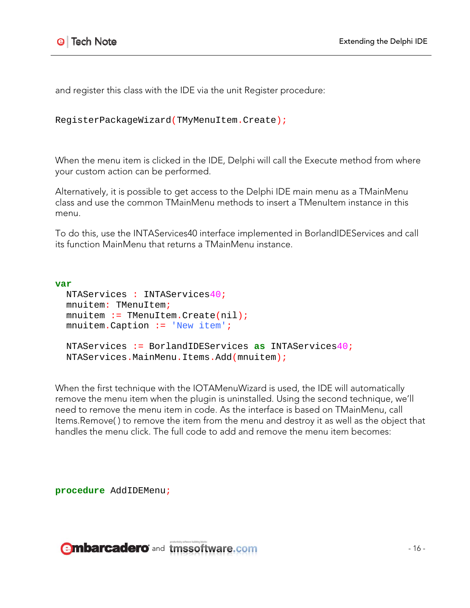and register this class with the IDE via the unit Register procedure:

```
RegisterPackageWizard(TMyMenuItem.Create);
```
When the menu item is clicked in the IDE, Delphi will call the Execute method from where your custom action can be performed.

Alternatively, it is possible to get access to the Delphi IDE main menu as a TMainMenu class and use the common TMainMenu methods to insert a TMenuItem instance in this menu.

To do this, use the INTAServices40 interface implemented in BorlandIDEServices and call its function MainMenu that returns a TMainMenu instance.

```
var
  NTAServices : INTAServices40;
  mnuitem: TMenuItem;
  mnuitem := TMenuItem.Created(nil); mnuitem.Caption := 'New item';
  NTAServices := BorlandIDEServices as INTAServices40;
  NTAServices.MainMenu.Items.Add(mnuitem);
```
When the first technique with the IOTAMenuWizard is used, the IDE will automatically remove the menu item when the plugin is uninstalled. Using the second technique, we'll need to remove the menu item in code. As the interface is based on TMainMenu, call Items.Remove( ) to remove the item from the menu and destroy it as well as the object that handles the menu click. The full code to add and remove the menu item becomes:

**procedure** AddIDEMenu;

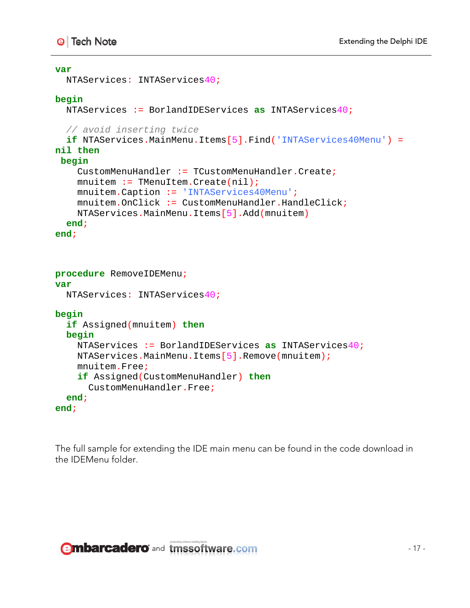#### **var**

```
 NTAServices: INTAServices40;
begin 
   NTAServices := BorlandIDEServices as INTAServices40;
   // avoid inserting twice 
   if NTAServices.MainMenu.Items[5].Find('INTAServices40Menu') =
nil then 
 begin 
     CustomMenuHandler := TCustomMenuHandler.Create;
     mnuitem := TMenuItem.Create(nil);
     mnuitem.Caption := 'INTAServices40Menu';
     mnuitem.OnClick := CustomMenuHandler.HandleClick;
     NTAServices.MainMenu.Items[5].Add(mnuitem)
   end;
end;
```

```
procedure RemoveIDEMenu;
var
   NTAServices: INTAServices40;
begin
   if Assigned(mnuitem) then
   begin
     NTAServices := BorlandIDEServices as INTAServices40;
     NTAServices.MainMenu.Items[5].Remove(mnuitem);
     mnuitem.Free;
     if Assigned(CustomMenuHandler) then
       CustomMenuHandler.Free;
   end;
end;
```
The full sample for extending the IDE main menu can be found in the code download in the IDEMenu folder.

and - 17 -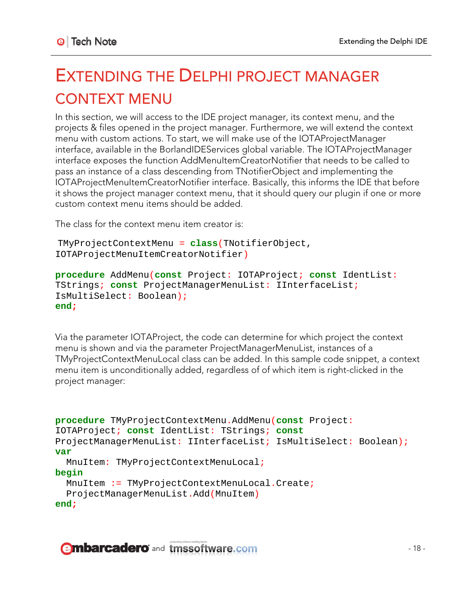## EXTENDING THE DELPHI PROJECT MANAGER CONTEXT MENU

In this section, we will access to the IDE project manager, its context menu, and the projects & files opened in the project manager. Furthermore, we will extend the context menu with custom actions. To start, we will make use of the IOTAProjectManager interface, available in the BorlandIDEServices global variable. The IOTAProjectManager interface exposes the function AddMenuItemCreatorNotifier that needs to be called to pass an instance of a class descending from TNotifierObject and implementing the IOTAProjectMenuItemCreatorNotifier interface. Basically, this informs the IDE that before it shows the project manager context menu, that it should query our plugin if one or more custom context menu items should be added.

The class for the context menu item creator is:

```
TMyProjectContextMenu = class(TNotifierObject, 
IOTAProjectMenuItemCreatorNotifier)
```

```
procedure AddMenu(const Project: IOTAProject; const IdentList:
TStrings; const ProjectManagerMenuList: IInterfaceList;
IsMultiSelect: Boolean);
end;
```
Via the parameter IOTAProject, the code can determine for which project the context menu is shown and via the parameter ProjectManagerMenuList, instances of a TMyProjectContextMenuLocal class can be added. In this sample code snippet, a context menu item is unconditionally added, regardless of of which item is right-clicked in the project manager:

```
procedure TMyProjectContextMenu.AddMenu(const Project:
IOTAProject; const IdentList: TStrings; const
ProjectManagerMenuList: IInterfaceList; IsMultiSelect: Boolean);
var
 Mnu
Item: TMyProjectContextMenuLocal;
begin
   MnuItem := TMyProjectContextMenuLocal.Create;
   ProjectManagerMenuList.Add(MnuItem)
end;
```
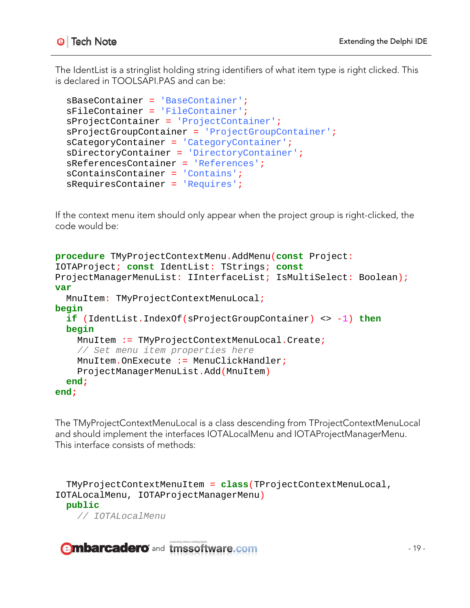The IdentList is a stringlist holding string identifiers of what item type is right clicked. This is declared in TOOLSAPI.PAS and can be:

```
 sBaseContainer = 'BaseContainer';
 sFileContainer = 'FileContainer';
 sProjectContainer = 'ProjectContainer';
 sProjectGroupContainer = 'ProjectGroupContainer';
 sCategoryContainer = 'CategoryContainer';
 sDirectoryContainer = 'DirectoryContainer';
 sReferencesContainer = 'References';
 sContainsContainer = 'Contains';
 sRequiresContainer = 'Requires';
```
If the context menu item should only appear when the project group is right-clicked, the code would be:

```
procedure TMyProjectContextMenu.AddMenu(const Project:
IOTAProject; const IdentList: TStrings; const
ProjectManagerMenuList: IInterfaceList; IsMultiSelect: Boolean);
var
   MnuItem: TMyProjectContextMenuLocal;
begin
   if (IdentList.IndexOf(sProjectGroupContainer) <> -1) then
   begin
     MnuItem := TMyProjectContextMenuLocal.Create;
     // Set menu item properties here
    MnuItem.OnExecute := MenuClickHandler;
     ProjectManagerMenuList.Add(MnuItem) 
   end;
end;
```
The TMyProjectContextMenuLocal is a class descending from TProjectContextMenuLocal and should implement the interfaces IOTALocalMenu and IOTAProjectManagerMenu. This interface consists of methods:

```
 TMyProjectContextMenuItem = class(TProjectContextMenuLocal, 
IOTALocalMenu, IOTAProjectManagerMenu)
  public
     // IOTALocalMenu
```
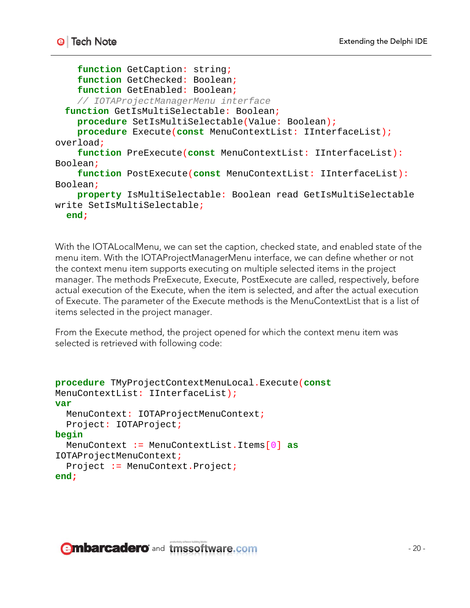```
 function GetCaption: string;
    function GetChecked: Boolean;
     function GetEnabled: Boolean;
     // IOTAProjectManagerMenu interface
  function GetIsMultiSelectable: Boolean;
     procedure SetIsMultiSelectable(Value: Boolean);
     procedure Execute(const MenuContextList: IInterfaceList);
overload;
     function PreExecute(const MenuContextList: IInterfaceList):
Boolean;
     function PostExecute(const MenuContextList: IInterfaceList):
Boolean;
     property IsMultiSelectable: Boolean read GetIsMultiSelectable 
write SetIsMultiSelectable;
   end;
```
With the IOTALocalMenu, we can set the caption, checked state, and enabled state of the menu item. With the IOTAProjectManagerMenu interface, we can define whether or not the context menu item supports executing on multiple selected items in the project manager. The methods PreExecute, Execute, PostExecute are called, respectively, before actual execution of the Execute, when the item is selected, and after the actual execution of Execute. The parameter of the Execute methods is the MenuContextList that is a list of items selected in the project manager.

From the Execute method, the project opened for which the context menu item was selected is retrieved with following code:

```
procedure TMyProjectContextMenuLocal.Execute(const
MenuContextList: IInterfaceList);
var
  MenuContext: IOTAProjectMenuContext;
   Project: IOTAProject;
begin
   MenuContext := MenuContextList.Items[0] as
IOTAProjectMenuContext;
Project := MenuContext.Project;
end;
```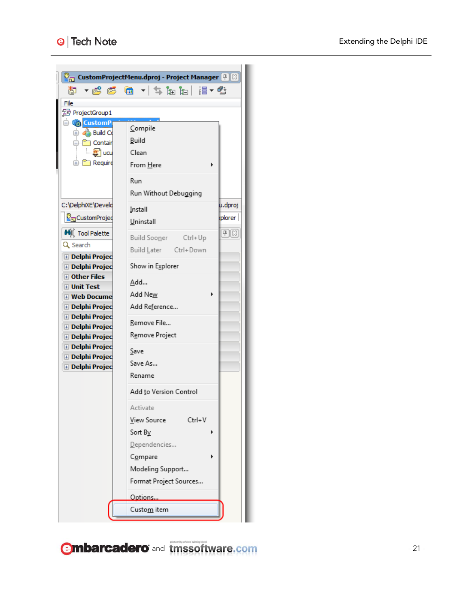

**And Denote To and transport ware.com**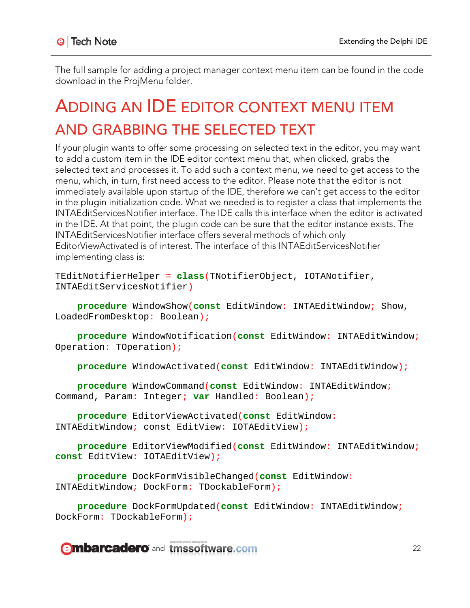The full sample for adding a project manager context menu item can be found in the code download in the ProjMenu folder.

## ADDING AN IDE EDITOR CONTEXT MENU ITEM AND GRABBING THE SELECTED TEXT

If your plugin wants to offer some processing on selected text in the editor, you may want to add a custom item in the IDE editor context menu that, when clicked, grabs the selected text and processes it. To add such a context menu, we need to get access to the menu, which, in turn, first need access to the editor. Please note that the editor is not immediately available upon startup of the IDE, therefore we can't get access to the editor in the plugin initialization code. What we needed is to register a class that implements the INTAEditServicesNotifier interface. The IDE calls this interface when the editor is activated in the IDE. At that point, the plugin code can be sure that the editor instance exists. The INTAEditServicesNotifier interface offers several methods of which only EditorViewActivated is of interest. The interface of this INTAEditServicesNotifier implementing class is:

TEditNotifierHelper = **class**(TNotifierObject, IOTANotifier, INTAEditServicesNotifier)

 **procedure** WindowShow(**const** EditWindow: INTAEditWindow; Show, LoadedFromDesktop: Boolean);

 **procedure** WindowNotification(**const** EditWindow: INTAEditWindow; Operation: TOperation);

**procedure** WindowActivated(**const** EditWindow: INTAEditWindow);

 **procedure** WindowCommand(**const** EditWindow: INTAEditWindow; Command, Param: Integer; **var** Handled: Boolean);

 **procedure** EditorViewActivated(**const** EditWindow: INTAEditWindow; const EditView: IOTAEditView);

 **procedure** EditorViewModified(**const** EditWindow: INTAEditWindow; **const** EditView: IOTAEditView);

 **procedure** DockFormVisibleChanged(**const** EditWindow: INTAEditWindow; DockForm: TDockableForm);

 **procedure** DockFormUpdated(**const** EditWindow: INTAEditWindow; DockForm: TDockableForm);

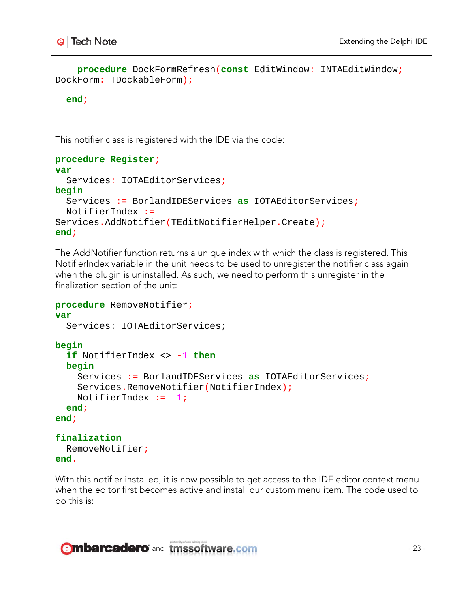```
 procedure DockFormRefresh(const EditWindow: INTAEditWindow;
DockForm: TDockableForm);
```
#### **end;**

This notifier class is registered with the IDE via the code:

```
procedure Register;
var
   Services: IOTAEditorServices;
begin
   Services := BorlandIDEServices as IOTAEditorServices;
   NotifierIndex :=
Services.AddNotifier(TEditNotifierHelper.Create);
end;
```
The AddNotifier function returns a unique index with which the class is registered. This NotifierIndex variable in the unit needs to be used to unregister the notifier class again when the plugin is uninstalled. As such, we need to perform this unregister in the finalization section of the unit:

```
procedure RemoveNotifier;
var
  Services: IOTAEditorServices;
begin
   if NotifierIndex <> -1 then
   begin
     Services := BorlandIDEServices as IOTAEditorServices;
     Services.RemoveNotifier(NotifierIndex);
    NotifierIndex := -1; end;
end;
finalization
```
 RemoveNotifier; **end**.

With this notifier installed, it is now possible to get access to the IDE editor context menu when the editor first becomes active and install our custom menu item. The code used to do this is:

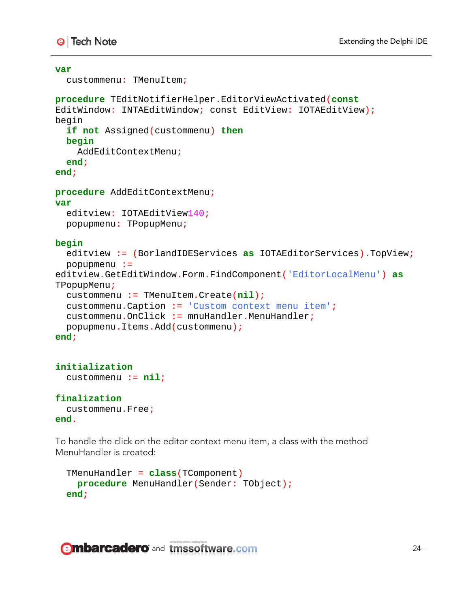#### **var**

custommenu: TMenuItem;

```
procedure TEditNotifierHelper.EditorViewActivated(const
EditWindow: INTAEditWindow; const EditView: IOTAEditView);
begin 
   if not Assigned(custommenu) then
   begin
     AddEditContextMenu;
   end;
end;
procedure AddEditContextMenu;
var
   editview: IOTAEditView140;
   popupmenu: TPopupMenu;
begin 
   editview := (BorlandIDEServices as IOTAEditorServices).TopView;
```

```
editview.GetEditWindow.Form.FindComponent('EditorLocalMenu') as
```
popupmenu :=

```
TPopupMenu;
   custommenu := TMenuItem.Create(nil);
  custommenu.Caption := 'Custom context menu item';
  custommenu.OnClick := mnuHandler.MenuHandler;
   popupmenu.Items.Add(custommenu);
end;
```

```
initialization
   custommenu := nil;
```
#### **finalization**

 custommenu.Free; **end**.

To handle the click on the editor context menu item, a class with the method MenuHandler is created:

```
 TMenuHandler = class(TComponent)
  procedure MenuHandler(Sender: TObject);
 end;
```
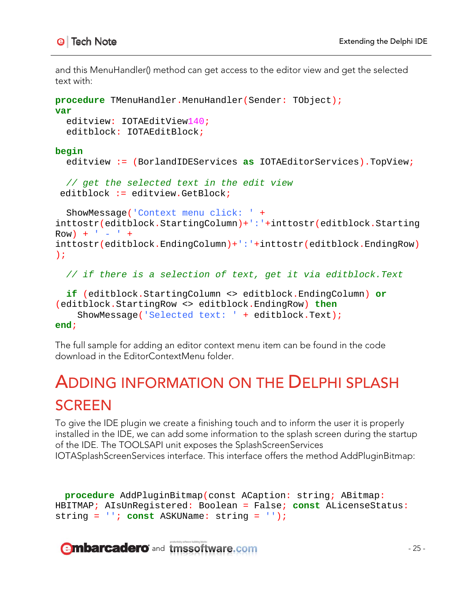and this MenuHandler() method can get access to the editor view and get the selected text with:

```
procedure TMenuHandler.MenuHandler(Sender: TObject);
var
   editview: IOTAEditView140;
   editblock: IOTAEditBlock;
begin 
   editview := (BorlandIDEServices as IOTAEditorServices).TopView;
   // get the selected text in the edit view 
editblock := editview.GetBlock;
   ShowMessage('Context menu click: ' +
inttostr(editblock.StartingColumn)+':'+inttostr(editblock.Starting
Row) + ' - ' +
inttostr(editblock.EndingColumn)+':'+inttostr(editblock.EndingRow)
);
```

```
 // if there is a selection of text, get it via editblock.Text
```

```
 if (editblock.StartingColumn <> editblock.EndingColumn) or
(editblock.StartingRow <> editblock.EndingRow) then
    ShowMessage('Selected text: ' + editblock.Text);
```
**end**;

The full sample for adding an editor context menu item can be found in the code download in the EditorContextMenu folder.

## ADDING INFORMATION ON THE DELPHI SPLASH **SCREEN**

To give the IDE plugin we create a finishing touch and to inform the user it is properly installed in the IDE, we can add some information to the splash screen during the startup of the IDE. The TOOLSAPI unit exposes the SplashScreenServices IOTASplashScreenServices interface. This interface offers the method AddPluginBitmap:

```
 procedure AddPluginBitmap(const ACaption: string; ABitmap:
HBITMAP; AIsUnRegistered: Boolean = False; const ALicenseStatus:
string = ''; const ASKUName: string = '');
```
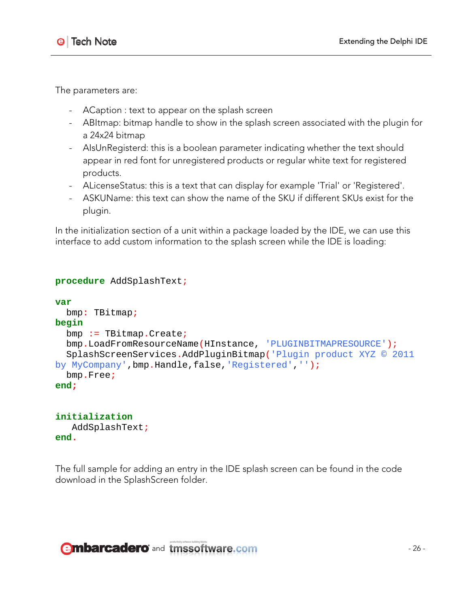

The parameters are:

- ACaption : text to appear on the splash screen
- ABItmap: bitmap handle to show in the splash screen associated with the plugin for a 24x24 bitmap
- AIsUnRegisterd: this is a boolean parameter indicating whether the text should appear in red font for unregistered products or regular white text for registered products.
- ALicenseStatus: this is a text that can display for example 'Trial' or 'Registered'.
- ASKUName: this text can show the name of the SKU if different SKUs exist for the plugin.

In the initialization section of a unit within a package loaded by the IDE, we can use this interface to add custom information to the splash screen while the IDE is loading:

```
procedure AddSplashText;
var
   bmp: TBitmap;
begin
   bmp := TBitmap.Create;
   bmp.LoadFromResourceName(HInstance, 'PLUGINBITMAPRESOURCE');
   SplashScreenServices.AddPluginBitmap('Plugin product XYZ © 2011 
by MyCompany',bmp.Handle,false,'Registered','');
   bmp.Free;
end;
```

```
initialization 
    AddSplashText;
end.
```
The full sample for adding an entry in the IDE splash screen can be found in the code download in the SplashScreen folder.

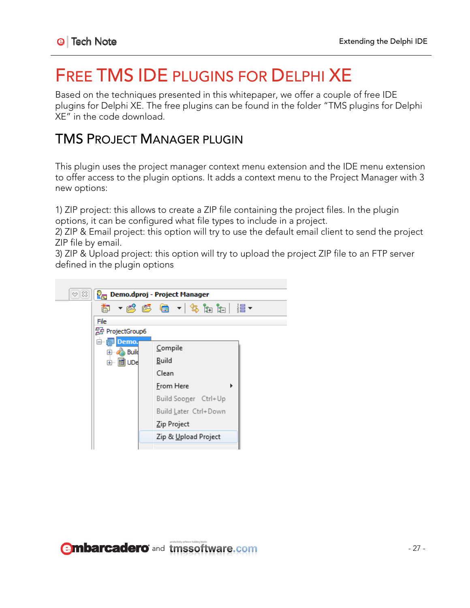# FREE TMS IDE PLUGINS FOR DELPHI XE

Based on the techniques presented in this whitepaper, we offer a couple of free IDE plugins for Delphi XE. The free plugins can be found in the folder "TMS plugins for Delphi XE" in the code download.

#### TMS PROJECT MANAGER PLUGIN

This plugin uses the project manager context menu extension and the IDE menu extension to offer access to the plugin options. It adds a context menu to the Project Manager with 3 new options:

1) ZIP project: this allows to create a ZIP file containing the project files. In the plugin options, it can be configured what file types to include in a project.

2) ZIP & Email project: this option will try to use the default email client to send the project ZIP file by email.

3) ZIP & Upload project: this option will try to upload the project ZIP file to an FTP server defined in the plugin options

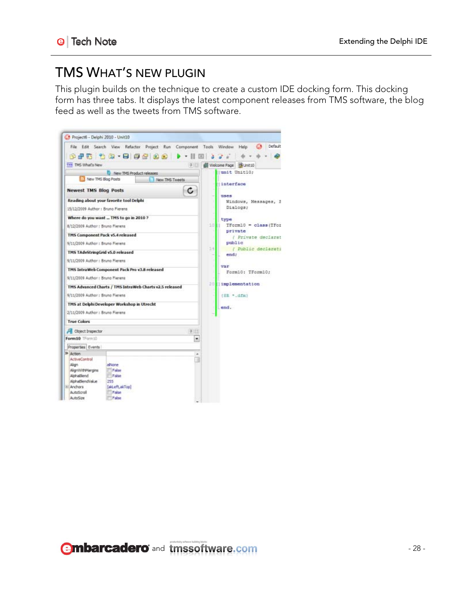#### TMS WHAT'S NEW PLUGIN

This plugin builds on the technique to create a custom IDE docking form. This docking form has three tabs. It displays the latest component releases from TMS software, the blog feed as well as the tweets from TMS software.



**embarcadero** and tmssoftware.com **and the set of the set of the set of the set of the set of the set of the set of the set of the set of the set of the set of the set of the set of the set of the set of the set of the set**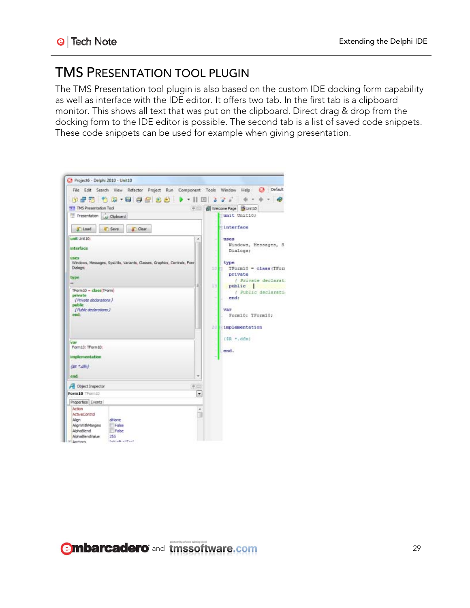#### TMS PRESENTATION TOOL PLUGIN

The TMS Presentation tool plugin is also based on the custom IDE docking form capability as well as interface with the IDE editor. It offers two tab. In the first tab is a clipboard monitor. This shows all text that was put on the clipboard. Direct drag & drop from the docking form to the IDE editor is possible. The second tab is a list of saved code snippets. These code snippets can be used for example when giving presentation.



**embarcadero** and tmssoftware.com **and the set of the set of the set of the set of the set of the set of the set of the set of the set of the set of the set of the set of the set of the set of the set of the set of the set**